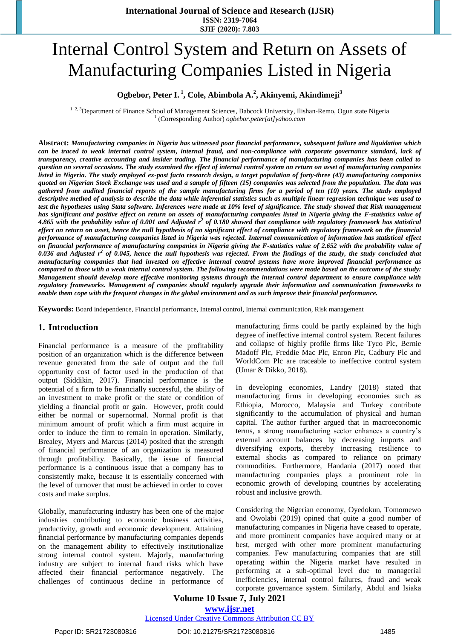# Internal Control System and Return on Assets of Manufacturing Companies Listed in Nigeria

### **Ogbebor, Peter I. <sup>1</sup> , Cole, Abimbola A.<sup>2</sup> , Akinyemi, Akindimeji<sup>3</sup>**

<sup>1, 2, 3</sup>Department of Finance School of Management Sciences, Babcock University, Ilishan-Remo, Ogun state Nigeria 1 (Corresponding Author) *[ogbebor.peter\[at\]yahoo.com](mailto:ogbebor.peter@yahoo.com)*

**Abstract:** *Manufacturing companies in Nigeria has witnessed poor financial performance, subsequent failure and liquidation which can be traced to weak internal control system, internal fraud, and non-compliance with corporate governance standard, lack of transparency, creative accounting and insider trading. The financial performance of manufacturing companies has been called to question on several occasions. The study examined the effect of internal control system on return on asset of manufacturing companies listed in Nigeria. The study employed ex-post facto research design, a target population of forty-three (43) manufacturing companies quoted on Nigerian Stock Exchange was used and a sample of fifteen (15) companies was selected from the population. The data was gathered from audited financial reports of the sample manufacturing firms for a period of ten (10) years. The study employed descriptive method of analysis to describe the data while inferential statistics such as multiple linear regression technique was used to test the hypotheses using Stata software. Inferences were made at 10% level of significance. The study showed that Risk management has significant and positive effect on return on assets of manufacturing companies listed in Nigeria giving the F-statistics value of 4.865 with the probability value of 0.001 and Adjusted r<sup>2</sup> of 0.180 showed that compliance with regulatory framework has statistical effect on return on asset, hence the null hypothesis of no significant effect of compliance with regulatory framework on the financial performance of manufacturing companies listed in Nigeria was rejected. Internal communication of information has statistical effect on financial performance of manufacturing companies in Nigeria giving the F-statistics value of 2.652 with the probability value of 0.036 and Adjusted r<sup>2</sup> of 0.045, hence the null hypothesis was rejected. From the findings of the study, the study concluded that manufacturing companies that had invested on effective internal control systems have more improved financial performance as compared to those with a weak internal control system. The following recommendations were made based on the outcome of the study: Management should develop more effective monitoring systems through the internal control department to ensure compliance with regulatory frameworks. Management of companies should regularly upgrade their information and communication frameworks to enable them cope with the frequent changes in the global environment and as such improve their financial performance.* 

**Keywords:** Board independence, Financial performance, Internal control, Internal communication, Risk management

#### **1. Introduction**

Financial performance is a measure of the profitability position of an organization which is the difference between revenue generated from the sale of output and the full opportunity cost of factor used in the production of that output (Siddikin, 2017). Financial performance is the potential of a firm to be financially successful, the ability of an investment to make profit or the state or condition of yielding a financial profit or gain. However, profit could either be normal or supernormal. Normal profit is that minimum amount of profit which a firm must acquire in order to induce the firm to remain in operation. Similarly, Brealey, Myers and Marcus (2014) posited that the strength of financial performance of an organization is measured through profitability. Basically, the issue of financial performance is a continuous issue that a company has to consistently make, because it is essentially concerned with the level of turnover that must be achieved in order to cover costs and make surplus.

Globally, manufacturing industry has been one of the major industries contributing to economic business activities, productivity, growth and economic development. Attaining financial performance by manufacturing companies depends on the management ability to effectively institutionalize strong internal control system. Majorly, manufacturing industry are subject to internal fraud risks which have affected their financial performance negatively. The challenges of continuous decline in performance of

manufacturing firms could be partly explained by the high degree of ineffective internal control system. Recent failures and collapse of highly profile firms like Tyco Plc, Bernie Madoff Plc, Freddie Mac Plc, Enron Plc, Cadbury Plc and WorldCom Plc are traceable to ineffective control system (Umar & Dikko, 2018).

In developing economies, Landry (2018) stated that manufacturing firms in developing economies such as Ethiopia, Morocco, Malaysia and Turkey contribute significantly to the accumulation of physical and human capital. The author further argued that in macroeconomic terms, a strong manufacturing sector enhances a country's external account balances by decreasing imports and diversifying exports, thereby increasing resilience to external shocks as compared to reliance on primary commodities. Furthermore, Handania (2017) noted that manufacturing companies plays a prominent role in economic growth of developing countries by accelerating robust and inclusive growth.

Considering the Nigerian economy, Oyedokun, Tomomewo and Owolabi (2019) opined that quite a good number of manufacturing companies in Nigeria have ceased to operate, and more prominent companies have acquired many or at best, merged with other more prominent manufacturing companies. Few manufacturing companies that are still operating within the Nigeria market have resulted in performing at a sub-optimal level due to managerial inefficiencies, internal control failures, fraud and weak corporate governance system. Similarly, Abdul and Isiaka

#### **Volume 10 Issue 7, July 2021 www.ijsr.net** Licensed Under Creative Commons Attribution CC BY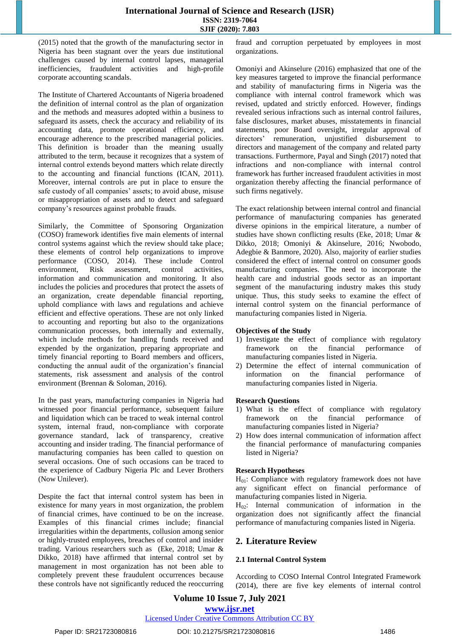(2015) noted that the growth of the manufacturing sector in Nigeria has been stagnant over the years due institutional challenges caused by internal control lapses, managerial inefficiencies, fraudulent activities and high-profile corporate accounting scandals.

The Institute of Chartered Accountants of Nigeria broadened the definition of internal control as the plan of organization and the methods and measures adopted within a business to safeguard its assets, check the accuracy and reliability of its accounting data, promote operational efficiency, and encourage adherence to the prescribed managerial policies. This definition is broader than the meaning usually attributed to the term, because it recognizes that a system of internal control extends beyond matters which relate directly to the accounting and financial functions (ICAN, 2011). Moreover, internal controls are put in place to ensure the safe custody of all companies' assets; to avoid abuse, misuse or misappropriation of assets and to detect and safeguard company's resources against probable frauds.

Similarly, the Committee of Sponsoring Organization (COSO) framework identifies five main elements of internal control systems against which the review should take place; these elements of control help organizations to improve performance (COSO, 2014). These include Control environment, Risk assessment, control activities, information and communication and monitoring. It also includes the policies and procedures that protect the assets of an organization, create dependable financial reporting, uphold compliance with laws and regulations and achieve efficient and effective operations. These are not only linked to accounting and reporting but also to the organizations communication processes, both internally and externally, which include methods for handling funds received and expended by the organization, preparing appropriate and timely financial reporting to Board members and officers, conducting the annual audit of the organization's financial statements, risk assessment and analysis of the control environment (Brennan & Soloman, 2016).

In the past years, manufacturing companies in Nigeria had witnessed poor financial performance, subsequent failure and liquidation which can be traced to weak internal control system, internal fraud, non-compliance with corporate governance standard, lack of transparency, creative accounting and insider trading. The financial performance of manufacturing companies has been called to question on several occasions. One of such occasions can be traced to the experience of Cadbury Nigeria Plc and Lever Brothers (Now Unilever).

Despite the fact that internal control system has been in existence for many years in most organization, the problem of financial crimes, have continued to be on the increase. Examples of this financial crimes include; financial irregularities within the departments, collusion among senior or highly-trusted employees, breaches of control and insider trading. Various researchers such as (Eke, 2018; Umar & Dikko, 2018) have affirmed that internal control set by management in most organization has not been able to completely prevent these fraudulent occurrences because these controls have not significantly reduced the reoccurring

fraud and corruption perpetuated by employees in most organizations.

Omoniyi and Akinselure (2016) emphasized that one of the key measures targeted to improve the financial performance and stability of manufacturing firms in Nigeria was the compliance with internal control framework which was revised, updated and strictly enforced. However, findings revealed serious infractions such as internal control failures, false disclosures, market abuses, misstatements in financial statements, poor Board oversight, irregular approval of directors' remuneration, unjustified disbursement to directors and management of the company and related party transactions. Furthermore, Payal and Singh (2017) noted that infractions and non-compliance with internal control framework has further increased fraudulent activities in most organization thereby affecting the financial performance of such firms negatively.

The exact relationship between internal control and financial performance of manufacturing companies has generated diverse opinions in the empirical literature, a number of studies have shown conflicting results (Eke, 2018; Umar & Dikko, 2018; Omoniyi & Akinselure, 2016; Nwobodo, Adegbie & Banmore, 2020). Also, majority of earlier studies considered the effect of internal control on consumer goods manufacturing companies. The need to incorporate the health care and industrial goods sector as an important segment of the manufacturing industry makes this study unique. Thus, this study seeks to examine the effect of internal control system on the financial performance of manufacturing companies listed in Nigeria.

#### **Objectives of the Study**

- 1) Investigate the effect of compliance with regulatory framework on the financial performance of manufacturing companies listed in Nigeria.
- 2) Determine the effect of internal communication of information on the financial performance of manufacturing companies listed in Nigeria.

#### **Research Questions**

- 1) What is the effect of compliance with regulatory framework on the financial performance of manufacturing companies listed in Nigeria?
- 2) How does internal communication of information affect the financial performance of manufacturing companies listed in Nigeria?

#### **Research Hypotheses**

 $H<sub>01</sub>$ : Compliance with regulatory framework does not have any significant effect on financial performance of manufacturing companies listed in Nigeria.

 $H_{02}$ : Internal communication of information in the organization does not significantly affect the financial performance of manufacturing companies listed in Nigeria.

# **2. Literature Review**

#### **2.1 Internal Control System**

According to COSO Internal Control Integrated Framework (2014), there are five key elements of internal control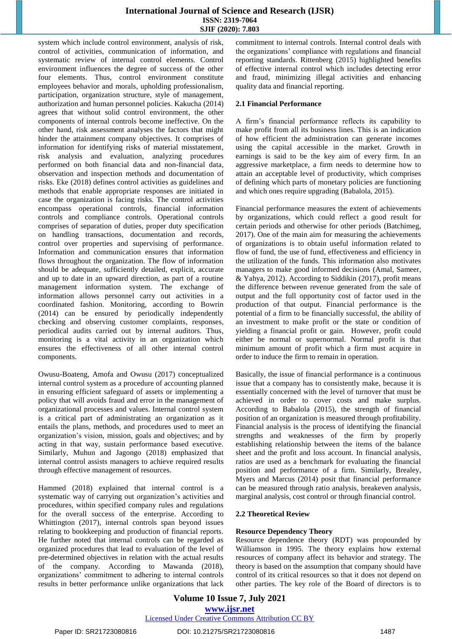system which include control environment, analysis of risk, control of activities, communication of information, and systematic review of internal control elements. Control environment influences the degree of success of the other four elements. Thus, control environment constitute employees behavior and morals, upholding professionalism, participation, organization structure, style of management, authorization and human personnel policies. Kakucha (2014) agrees that without solid control environment, the other components of internal controls become ineffective. On the other hand, risk assessment analyses the factors that might hinder the attainment company objectives. It comprises of information for identifying risks of material misstatement, risk analysis and evaluation, analyzing procedures performed on both financial data and non-financial data, observation and inspection methods and documentation of risks. Eke (2018) defines control activities as guidelines and methods that enable appropriate responses are initiated in case the organization is facing risks. The control activities encompass operational controls, financial information controls and compliance controls. Operational controls comprises of separation of duties, proper duty specification on handling transactions, documentation and records, control over properties and supervising of performance. Information and communication ensures that information flows throughout the organization. The flow of information should be adequate, sufficiently detailed, explicit, accurate and up to date in an upward direction, as part of a routine management information system. The exchange of information allows personnel carry out activities in a coordinated fashion. Monitoring, according to Bowrin (2014) can be ensured by periodically independently checking and observing customer complaints, responses, periodical audits carried out by internal auditors. Thus, monitoring is a vital activity in an organization which ensures the effectiveness of all other internal control components.

Owusu-Boateng, Amofa and Owusu (2017) conceptualized internal control system as a procedure of accounting planned in ensuring efficient safeguard of assets or implementing a policy that will avoids fraud and error in the management of organizational processes and values. Internal control system is a critical part of administrating an organization as it entails the plans, methods, and procedures used to meet an organization's vision, mission, goals and objectives; and by acting in that way, sustain performance based executive. Similarly, Muhun and Jagongo (2018) emphasized that internal control assists managers to achieve required results through effective management of resources.

Hammed (2018) explained that internal control is a systematic way of carrying out organization's activities and procedures, within specified company rules and regulations for the overall success of the enterprise. According to Whittington (2017), internal controls span beyond issues relating to bookkeeping and production of financial reports. He further noted that internal controls can be regarded as organized procedures that lead to evaluation of the level of pre-determined objectives in relation with the actual results of the company. According to Mawanda (2018), organizations' commitment to adhering to internal controls results in better performance unlike organizations that lack commitment to internal controls. Internal control deals with the organizations' compliance with regulations and financial reporting standards. Rittenberg (2015) highlighted benefits of effective internal control which includes detecting error and fraud, minimizing illegal activities and enhancing quality data and financial reporting.

#### **2.1 Financial Performance**

A firm's financial performance reflects its capability to make profit from all its business lines. This is an indication of how efficient the administration can generate incomes using the capital accessible in the market. Growth in earnings is said to be the key aim of every firm. In an aggressive marketplace, a firm needs to determine how to attain an acceptable level of productivity, which comprises of defining which parts of monetary policies are functioning and which ones require upgrading (Babalola, 2015).

Financial performance measures the extent of achievements by organizations, which could reflect a good result for certain periods and otherwise for other periods (Batchimeg, 2017). One of the main aim for measuring the achievements of organizations is to obtain useful information related to flow of fund, the use of fund, effectiveness and efficiency in the utilization of the funds. This information also motivates managers to make good informed decisions (Amal, Sameer, & Yahya, 2012). According to Siddikin (2017), profit means the difference between revenue generated from the sale of output and the full opportunity cost of factor used in the production of that output. Financial performance is the potential of a firm to be financially successful, the ability of an investment to make profit or the state or condition of yielding a financial profit or gain. However, profit could either be normal or supernormal. Normal profit is that minimum amount of profit which a firm must acquire in order to induce the firm to remain in operation.

Basically, the issue of financial performance is a continuous issue that a company has to consistently make, because it is essentially concerned with the level of turnover that must be achieved in order to cover costs and make surplus. According to Babalola (2015), the strength of financial position of an organization is measured through profitability. Financial analysis is the process of identifying the financial strengths and weaknesses of the firm by properly establishing relationship between the items of the balance sheet and the profit and loss account. In financial analysis, ratios are used as a benchmark for evaluating the financial position and performance of a firm. Similarly, Brealey, Myers and Marcus (2014) posit that financial performance can be measured through ratio analysis, breakeven analysis, marginal analysis, cost control or through financial control.

#### **2.2 Theoretical Review**

#### **Resource Dependency Theory**

Resource dependence theory (RDT) was propounded by Williamson in 1995. The theory explains how external resources of company affect its behavior and strategy. The theory is based on the assumption that company should have control of its critical resources so that it does not depend on other parties. The key role of the Board of directors is to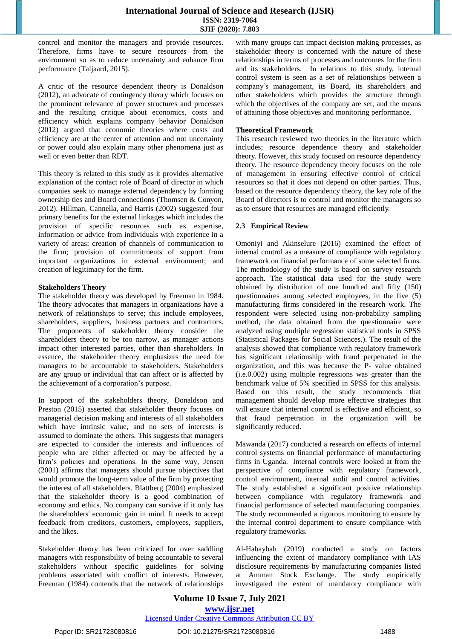control and monitor the managers and provide resources. Therefore, firms have to secure resources from the environment so as to reduce uncertainty and enhance firm performance (Taljaard, 2015).

A critic of the resource dependent theory is Donaldson (2012), an advocate of contingency theory which focuses on the prominent relevance of power structures and processes and the resulting critique about economics, costs and efficiency which explains company behavior Donaldson (2012) argued that economic theories where costs and efficiency are at the center of attention and not uncertainty or power could also explain many other phenomena just as well or even better than RDT.

This theory is related to this study as it provides alternative explanation of the contact role of Board of director in which companies seek to manage external dependency by forming ownership ties and Board connections (Thomsen & Conyon, 2012). Hillman, Cannella, and Harris (2002) suggested four primary benefits for the external linkages which includes the provision of specific resources such as expertise, information or advice from individuals with experience in a variety of areas; creation of channels of communication to the firm; provision of commitments of support from important organizations in external environment; and creation of legitimacy for the firm.

#### **Stakeholders Theory**

The stakeholder theory was developed by Freeman in 1984. The theory advocates that managers in organizations have a network of relationships to serve; this include employees, shareholders, suppliers, business partners and contractors. The proponents of stakeholder theory consider the shareholders theory to be too narrow, as manager actions impact other interested parties, other than shareholders. In essence, the stakeholder theory emphasizes the need for managers to be accountable to stakeholders. Stakeholders are any group or individual that can affect or is affected by the achievement of a corporation's purpose.

In support of the stakeholders theory, Donaldson and Preston (2015) asserted that stakeholder theory focuses on managerial decision making and interests of all stakeholders which have intrinsic value, and no sets of interests is assumed to dominate the others. This suggests that managers are expected to consider the interests and influences of people who are either affected or may be affected by a firm's policies and operations. In the same way, Jensen (2001) affirms that managers should pursue objectives that would promote the long-term value of the firm by protecting the interest of all stakeholders. Blattberg (2004) emphasized that the stakeholder theory is a good combination of economy and ethics. No company can survive if it only has the shareholders' economic gain in mind. It needs to accept feedback from creditors, customers, employees, suppliers, and the likes.

Stakeholder theory has been criticized for over saddling managers with responsibility of being accountable to several stakeholders without specific guidelines for solving problems associated with conflict of interests. However, Freeman (1984) contends that the network of relationships with many groups can impact decision making processes, as stakeholder theory is concerned with the nature of these relationships in terms of processes and outcomes for the firm and its stakeholders. In relations to this study, internal control system is seen as a set of relationships between a company's management, its Board, its shareholders and other stakeholders which provides the structure through which the objectives of the company are set, and the means of attaining those objectives and monitoring performance.

#### **Theoretical Framework**

This research reviewed two theories in the literature which includes; resource dependence theory and stakeholder theory. However, this study focused on resource dependency theory. The resource dependency theory focuses on the role of management in ensuring effective control of critical resources so that it does not depend on other parties. Thus, based on the resource dependency theory, the key role of the Board of directors is to control and monitor the managers so as to ensure that resources are managed efficiently.

#### **2.3 Empirical Review**

Omoniyi and Akinselure (2016) examined the effect of internal control as a measure of compliance with regulatory framework on financial performance of some selected firms. The methodology of the study is based on survey research approach. The statistical data used for the study were obtained by distribution of one hundred and fifty (150) questionnaires among selected employees, in the five (5) manufacturing firms considered in the research work. The respondent were selected using non-probability sampling method, the data obtained from the questionnaire were analyzed using multiple regression statistical tools in SPSS (Statistical Packages for Social Sciences.). The result of the analysis showed that compliance with regulatory framework has significant relationship with fraud perpetrated in the organization, and this was because the P- value obtained (i.e.0.002) using multiple regressions was greater than the benchmark value of 5% specified in SPSS for this analysis. Based on this result, the study recommends that management should develop more effective strategies that will ensure that internal control is effective and efficient, so that fraud perpetration in the organization will be significantly reduced.

Mawanda (2017) conducted a research on effects of internal control systems on financial performance of manufacturing firms in Uganda. Internal controls were looked at from the perspective of compliance with regulatory framework, control environment, internal audit and control activities. The study established a significant positive relationship between compliance with regulatory framework and financial performance of selected manufacturing companies. The study recommended a rigorous monitoring to ensure by the internal control department to ensure compliance with regulatory frameworks.

Al-Habaybah (2019) conducted a study on factors influencing the extent of mandatory compliance with IAS disclosure requirements by manufacturing companies listed at Amman Stock Exchange. The study empirically investigated the extent of mandatory compliance with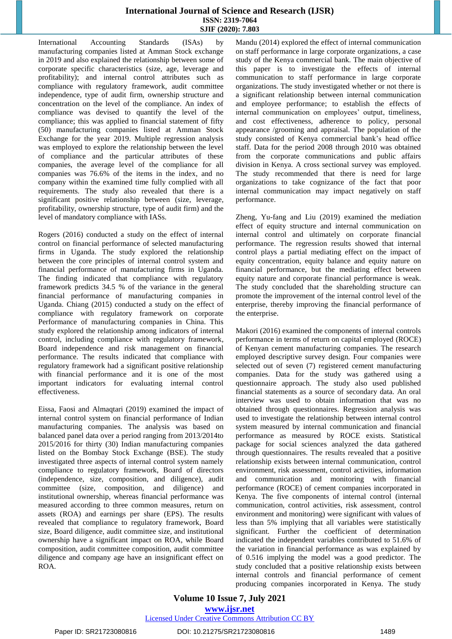International Accounting Standards (ISAs) by manufacturing companies listed at Amman Stock exchange in 2019 and also explained the relationship between some of corporate specific characteristics (size, age, leverage and profitability); and internal control attributes such as compliance with regulatory framework, audit committee independence, type of audit firm, ownership structure and concentration on the level of the compliance. An index of compliance was devised to quantify the level of the compliance; this was applied to financial statement of fifty (50) manufacturing companies listed at Amman Stock Exchange for the year 2019. Multiple regression analysis was employed to explore the relationship between the level of compliance and the particular attributes of these companies, the average level of the compliance for all companies was 76.6% of the items in the index, and no company within the examined time fully complied with all requirements. The study also revealed that there is a significant positive relationship between (size, leverage, profitability, ownership structure, type of audit firm) and the level of mandatory compliance with IASs.

Rogers (2016) conducted a study on the effect of internal control on financial performance of selected manufacturing firms in Uganda. The study explored the relationship between the core principles of internal control system and financial performance of manufacturing firms in Uganda. The finding indicated that compliance with regulatory framework predicts 34.5 % of the variance in the general financial performance of manufacturing companies in Uganda. Chiang (2015) conducted a study on the effect of compliance with regulatory framework on corporate Performance of manufacturing companies in China. This study explored the relationship among indicators of internal control, including compliance with regulatory framework, Board independence and risk management on financial performance. The results indicated that compliance with regulatory framework had a significant positive relationship with financial performance and it is one of the most important indicators for evaluating internal control effectiveness.

Eissa, Faosi and Almaqtari (2019) examined the impact of internal control system on financial performance of Indian manufacturing companies. The analysis was based on balanced panel data over a period ranging from 2013/2014to 2015/2016 for thirty (30) Indian manufacturing companies listed on the Bombay Stock Exchange (BSE). The study investigated three aspects of internal control system namely compliance to regulatory framework, Board of directors (independence, size, composition, and diligence), audit committee (size, composition, and diligence) and institutional ownership, whereas financial performance was measured according to three common measures, return on assets (ROA) and earnings per share (EPS). The results revealed that compliance to regulatory framework, Board size, Board diligence, audit committee size, and institutional ownership have a significant impact on ROA, while Board composition, audit committee composition, audit committee diligence and company age have an insignificant effect on ROA.

Mandu (2014) explored the effect of internal communication on staff performance in large corporate organizations, a case study of the Kenya commercial bank. The main objective of this paper is to investigate the effects of internal communication to staff performance in large corporate organizations. The study investigated whether or not there is a significant relationship between internal communication and employee performance; to establish the effects of internal communication on employees' output, timeliness, and cost effectiveness, adherence to policy, personal appearance /grooming and appraisal. The population of the study consisted of Kenya commercial bank's head office staff. Data for the period 2008 through 2010 was obtained from the corporate communications and public affairs division in Kenya. A cross sectional survey was employed. The study recommended that there is need for large organizations to take cognizance of the fact that poor internal communication may impact negatively on staff performance.

Zheng, Yu-fang and Liu (2019) examined the mediation effect of equity structure and internal communication on internal control and ultimately on corporate financial performance. The regression results showed that internal control plays a partial mediating effect on the impact of equity concentration, equity balance and equity nature on financial performance, but the mediating effect between equity nature and corporate financial performance is weak. The study concluded that the shareholding structure can promote the improvement of the internal control level of the enterprise, thereby improving the financial performance of the enterprise.

Makori (2016) examined the components of internal controls performance in terms of return on capital employed (ROCE) of Kenyan cement manufacturing companies. The research employed descriptive survey design. Four companies were selected out of seven (7) registered cement manufacturing companies. Data for the study was gathered using a questionnaire approach. The study also used published financial statements as a source of secondary data. An oral interview was used to obtain information that was no obtained through questionnaires. Regression analysis was used to investigate the relationship between internal control system measured by internal communication and financial performance as measured by ROCE exists. Statistical package for social sciences analyzed the data gathered through questionnaires. The results revealed that a positive relationship exists between internal communication, control environment, risk assessment, control activities, information and communication and monitoring with financial performance (ROCE) of cement companies incorporated in Kenya. The five components of internal control (internal communication, control activities, risk assessment, control environment and monitoring) were significant with values of less than 5% implying that all variables were statistically significant. Further the coefficient of determination indicated the independent variables contributed to 51.6% of the variation in financial performance as was explained by of 0.516 implying the model was a good predictor. The study concluded that a positive relationship exists between internal controls and financial performance of cement producing companies incorporated in Kenya. The study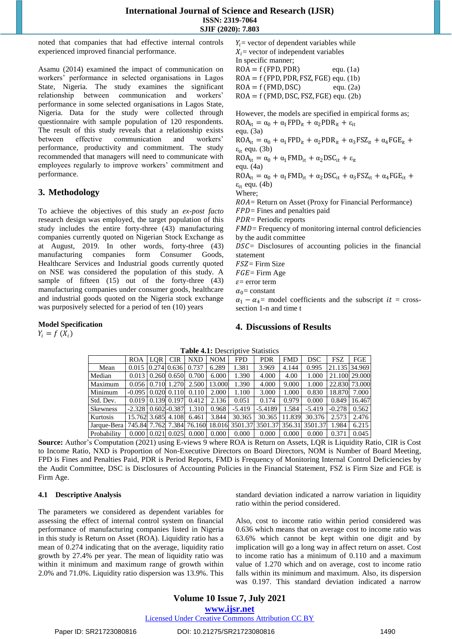noted that companies that had effective internal controls experienced improved financial performance.

Asamu (2014) examined the impact of communication on workers' performance in selected organisations in Lagos State, Nigeria. The study examines the significant relationship between communication and workers' performance in some selected organisations in Lagos State, Nigeria. Data for the study were collected through questionnaire with sample population of 120 respondents. The result of this study reveals that a relationship exists between effective communication and workers' performance, productivity and commitment. The study recommended that managers will need to communicate with employees regularly to improve workers' commitment and performance.

## **3. Methodology**

**Model Specification**

 $Y_i = f(X_i)$ 

To achieve the objectives of this study an *ex-post facto* research design was employed, the target population of this study includes the entire forty-three (43) manufacturing companies currently quoted on Nigerian Stock Exchange as at August, 2019. In other words, forty-three (43) manufacturing companies form Consumer Goods, Healthcare Services and Industrial goods currently quoted on NSE was considered the population of this study. A sample of fifteen (15) out of the forty-three (43) manufacturing companies under consumer goods, healthcare and industrial goods quoted on the Nigeria stock exchange was purposively selected for a period of ten (10) years

 $Y_i$  = vector of dependent variables while  $X_i$  = vector of independent variables In specific manner;  $ROA = f (FPD, PDR)$  equ. (1a)  $ROA = f (FPD, PDR, FSZ, FGE)$  equ. (1b)  $ROA = f(FMD, DSC)$  equ. (2a)  $ROA = f(FMD, DSC, FSZ, FGE)$  equ. (2b)

However, the models are specified in empirical forms as;  $ROA_{it} = \alpha_0 + \alpha_1 FPD_{it} + \alpha_2 PDR_{it} + \varepsilon_{it}$ equ. (3a)  $ROA_{it} = \alpha_0 + \alpha_1 FPD_{it} + \alpha_2 PDR_{it} + \alpha_3 FSZ_{it} + \alpha_4 FGE_{it} +$  $\varepsilon_{it}$  equ. (3b)  $ROA_{it} = \alpha_0 + \alpha_1 FMD_{it} + \alpha_2 DSC_{it} + \varepsilon_{it}$ equ. (4a)  $ROA_{it} = \alpha_0 + \alpha_1 FMD_{it} + \alpha_2 DSC_{it} + \alpha_3 FSZ_{it} + \alpha_4 FGE_{it} +$  $\varepsilon_{it}$  equ. (4b) Where;  $ROA =$  Return on Asset (Proxy for Financial Performance)  $FPD =$  Fines and penalties paid  $PDR = Periodic$  reports  $FMD =$  Frequency of monitoring internal control deficiencies by the audit committee  $DSC =$  Disclosures of accounting policies in the financial statement  $FSZ =$  Firm Size  $FGE =$  Firm Age  $\varepsilon$ = error term  $\alpha_0$  = constant  $\alpha_1 - \alpha_4$ = model coefficients and the subscript  $it = cross$ section 1-n and time t

#### **4. Discussions of Results**

|                 | <b>ROA</b>         | LOR.  | <b>CIR</b>       | <b>NXD</b> | <b>NOM</b> | <b>FPD</b>     | <b>PDR</b> | <b>FMD</b> | <b>DSC</b> | <b>FSZ</b>    | FGE    |
|-----------------|--------------------|-------|------------------|------------|------------|----------------|------------|------------|------------|---------------|--------|
| Mean            | 0.015              |       | $0.274 \, 0.636$ | 0.737      | 6.289      | 1.381          | 3.969      | 4.144      | 0.995      | 21.135 34.969 |        |
| Median          | 0.013              |       | $0.260$ $0.650$  | 0.700      | 6.000      | 1.390          | 4.000      | 4.00       | 1.000      | 21.100 29.000 |        |
| Maximum         | 0.056              |       | 0.710 1.270      | 2.500      | 13.000     | 1.390          | 4.000      | 9.000      | 1.000      | 22.830 73.000 |        |
| Minimum         | $-0.095$           |       | 0.02010110       | 0.110      | 2.000      | 1.100          | 3.000      | 1.000      | 0.830      | 18.870        | 7.000  |
| Std. Dev.       | 0.019              |       | 0.139 0.197      | 0.412      | 2.136      | 0.051          | 0.174      | 0.979      | 0.000      | 0.849         | 16.467 |
| <b>Skewness</b> | $-2.328$           |       | $0.602 - 0.387$  | 1.310      | 0.968      | $-5.419$       | $-5.4189$  | l.584      | $-5.419$   | $-0.278$      | 0.562  |
| Kurtosis        | 15.7621            | 3.685 | 4.108            | 6.461      | 3.844      | 30.365         | 30.365     | 11.839     | 30.376     | 2.573         | 2.476  |
| Jarque-Bera     | 745.84 7.762 7.384 |       |                  | 76.160     |            | 18.016 3501.37 | 3501.37    | 356.31     | 3501.37    | 1.984         | 6.215  |
| Probability     | 0.000              | 0.021 | 0.025            | 0.000      | 0.000      | 0.000          | 0.000      | 0.000      | 0.000      | 0.371         | 0.045  |

**Table 4.1:** Descriptive Statistics

**Source:** Author's Computation (2021) using E-views 9 where ROA is Return on Assets, LQR is Liquidity Ratio, CIR is Cost to Income Ratio, NXD is Proportion of Non-Executive Directors on Board Directors, NOM is Number of Board Meeting, FPD is Fines and Penalties Paid, PDR is Period Reports, FMD is Frequency of Monitoring Internal Control Deficiencies by the Audit Committee, DSC is Disclosures of Accounting Policies in the Financial Statement, FSZ is Firm Size and FGE is Firm Age.

#### **4.1 Descriptive Analysis**

The parameters we considered as dependent variables for assessing the effect of internal control system on financial performance of manufacturing companies listed in Nigeria in this study is Return on Asset (ROA). Liquidity ratio has a mean of 0.274 indicating that on the average, liquidity ratio growth by 27.4% per year. The mean of liquidity ratio was within it minimum and maximum range of growth within 2.0% and 71.0%. Liquidity ratio dispersion was 13.9%. This

standard deviation indicated a narrow variation in liquidity ratio within the period considered.

Also, cost to income ratio within period considered was 0.636 which means that on average cost to income ratio was 63.6% which cannot be kept within one digit and by implication will go a long way in affect return on asset. Cost to income ratio has a minimum of 0.110 and a maximum value of 1.270 which and on average, cost to income ratio falls within its minimum and maximum. Also, its dispersion was 0.197. This standard deviation indicated a narrow

# **Volume 10 Issue 7, July 2021**

**www.ijsr.net**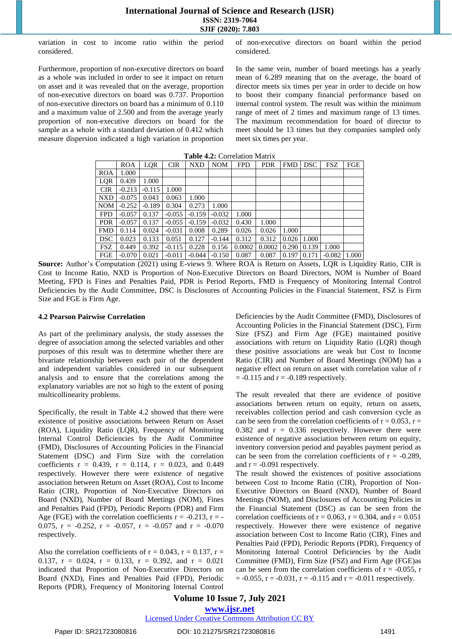variation in cost to income ratio within the period considered.

Furthermore, proportion of non-executive directors on board as a whole was included in order to see it impact on return on asset and it was revealed that on the average, proportion of non-executive directors on board was 0.737. Proportion of non-executive directors on board has a minimum of 0.110 and a maximum value of 2.500 and from the average yearly proportion of non-executive directors on board for the sample as a whole with a standard deviation of 0.412 which measure dispersion indicated a high variation in proportion of non-executive directors on board within the period considered.

In the same vein, number of board meetings has a yearly mean of 6.289 meaning that on the average, the board of director meets six times per year in order to decide on how to boost their company financial performance based on internal control system. The result was within the minimum range of meet of 2 times and maximum range of 13 times. The maximum recommendation for board of director to meet should be 13 times but they companies sampled only meet six times per year.

| <b>Table <math>\pi, \mu</math>.</b> Correlation in all $\Lambda$ |            |            |            |          |            |                |            |                    |         |                  |     |
|------------------------------------------------------------------|------------|------------|------------|----------|------------|----------------|------------|--------------------|---------|------------------|-----|
|                                                                  | <b>ROA</b> | <b>LQR</b> | <b>CIR</b> | NXD      | <b>NOM</b> | <b>FPD</b>     | <b>PDR</b> |                    | FMD DSC | FSZ.             | FGE |
| <b>ROA</b>                                                       | 1.000      |            |            |          |            |                |            |                    |         |                  |     |
| LQR                                                              | 0.439      | 1.000      |            |          |            |                |            |                    |         |                  |     |
| <b>CIR</b>                                                       | $-0.213$   | $-0.115$   | 1.000      |          |            |                |            |                    |         |                  |     |
| <b>NXD</b>                                                       | $-0.075$   | 0.043      | 0.063      | 1.000    |            |                |            |                    |         |                  |     |
| <b>NOM</b>                                                       | $-0.252$   | $-0.189$   | 0.304      | 0.273    | 1.000      |                |            |                    |         |                  |     |
| <b>FPD</b>                                                       | $-0.057$   | 0.137      | $-0.055$   | $-0.159$ | $-0.032$   | 1.000          |            |                    |         |                  |     |
| <b>PDR</b>                                                       | $-0.057$   | 0.137      | $-0.055$   | $-0.159$ | $-0.032$   | 0.430          | 1.000      |                    |         |                  |     |
| <b>FMD</b>                                                       | 0.114      | 0.024      | $-0.031$   | 0.008    | 0.289      | 0.026          | 0.026      | 1.000              |         |                  |     |
| DSC.                                                             | 0.023      | 0.133      | 0.051      | 0.127    | $-0.144$   | 0.312          | 0.312      | 0.026              | 1.000   |                  |     |
| FSZ                                                              | 0.449      | 0.392      | $-0.115$   | 0.228    | 0.156      | 0.0002         | 0.0002     | $0.290 \mid 0.139$ |         | 1.000            |     |
| FGE                                                              | $-0.070$   | 0.021      | $-0.011$   | $-0.044$ |            | $-0.150$ 0.087 | 0.087      | $0.197 \mid 0.171$ |         | $-0.082$   1.000 |     |

**Table 4.2:** Correlation Matrix

**Source:** Author's Computation (2021) using E-views 9. Where ROA is Return on Assets, LQR is Liquidity Ratio, CIR is Cost to Income Ratio, NXD is Proportion of Non-Executive Directors on Board Directors, NOM is Number of Board Meeting, FPD is Fines and Penalties Paid, PDR is Period Reports, FMD is Frequency of Monitoring Internal Control Deficiencies by the Audit Committee, DSC is Disclosures of Accounting Policies in the Financial Statement, FSZ is Firm Size and FGE is Firm Age.

#### **4.2 Pearson Pairwise Correlation**

As part of the preliminary analysis, the study assesses the degree of association among the selected variables and other purposes of this result was to determine whether there are bivariate relationship between each pair of the dependent and independent variables considered in our subsequent analysis and to ensure that the correlations among the explanatory variables are not so high to the extent of posing multicollinearity problems.

Specifically, the result in Table 4.2 showed that there were existence of positive associations between Return on Asset (ROA), Liquidity Ratio (LQR), Frequency of Monitoring Internal Control Deficiencies by the Audit Committee (FMD), Disclosures of Accounting Policies in the Financial Statement (DSC) and Firm Size with the correlation coefficients  $r = 0.439$ ,  $r = 0.114$ ,  $r = 0.023$ , and 0.449 respectively. However there were existence of negative association between Return on Asset (ROA), Cost to Income Ratio (CIR), Proportion of Non-Executive Directors on Board (NXD), Number of Board Meetings (NOM), Fines and Penalties Paid (FPD), Periodic Reports (PDR) and Firm Age (FGE) with the correlation coefficients  $r = -0.213$ ,  $r = -1$ 0.075,  $r = -0.252$ ,  $r = -0.057$ ,  $r = -0.057$  and  $r = -0.070$ respectively.

Also the correlation coefficients of  $r = 0.043$ ,  $r = 0.137$ ,  $r =$ 0.137,  $r = 0.024$ ,  $r = 0.133$ ,  $r = 0.392$ , and  $r = 0.021$ indicated that Proportion of Non-Executive Directors on Board (NXD), Fines and Penalties Paid (FPD), Periodic Reports (PDR), Frequency of Monitoring Internal Control Deficiencies by the Audit Committee (FMD), Disclosures of Accounting Policies in the Financial Statement (DSC), Firm Size (FSZ) and Firm Age (FGE) maintained positive associations with return on Liquidity Ratio (LQR) though these positive associations are weak but Cost to Income Ratio (CIR) and Number of Board Meetings (NOM) has a negative effect on return on asset with correlation value of r  $= -0.115$  and  $r = -0.189$  respectively.

The result revealed that there are evidence of positive associations between return on equity, return on assets, receivables collection period and cash conversion cycle as can be seen from the correlation coefficients of  $r = 0.053$ ,  $r =$ 0.382 and  $r = 0.336$  respectively. However there were existence of negative association between return on equity, inventory conversion period and payables payment period as can be seen from the correlation coefficients of  $r = -0.289$ , and  $r = -0.091$  respectively.

The result showed the existences of positive associations between Cost to Income Ratio (CIR), Proportion of Non-Executive Directors on Board (NXD), Number of Board Meetings (NOM), and Disclosures of Accounting Policies in the Financial Statement (DSC) as can be seen from the correlation coefficients of  $r = 0.063$ ,  $r = 0.304$ , and  $r = 0.051$ respectively. However there were existence of negative association between Cost to Income Ratio (CIR), Fines and Penalties Paid (FPD), Periodic Reports (PDR), Frequency of Monitoring Internal Control Deficiencies by the Audit Committee (FMD), Firm Size (FSZ) and Firm Age (FGE)as can be seen from the correlation coefficients of  $r = -0.055$ , r  $= -0.055$ ,  $r = -0.031$ ,  $r = -0.115$  and  $r = -0.011$  respectively.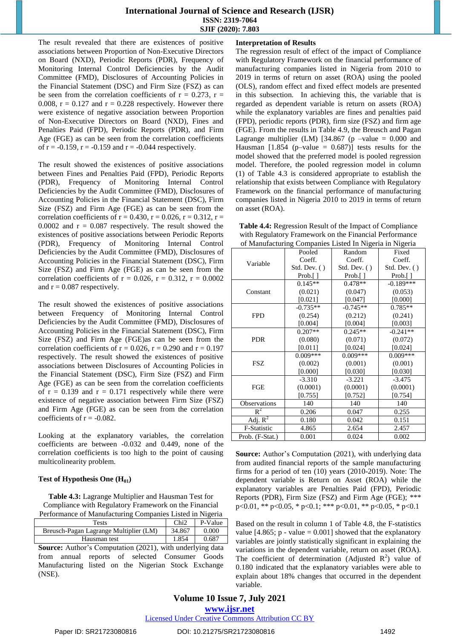The result revealed that there are existences of positive associations between Proportion of Non-Executive Directors on Board (NXD), Periodic Reports (PDR), Frequency of Monitoring Internal Control Deficiencies by the Audit Committee (FMD), Disclosures of Accounting Policies in the Financial Statement (DSC) and Firm Size (FSZ) as can be seen from the correlation coefficients of  $r = 0.273$ ,  $r =$ 0.008,  $r = 0.127$  and  $r = 0.228$  respectively. However there were existence of negative association between Proportion of Non-Executive Directors on Board (NXD), Fines and Penalties Paid (FPD), Periodic Reports (PDR), and Firm Age (FGE) as can be seen from the correlation coefficients of  $r = -0.159$ ,  $r = -0.159$  and  $r = -0.044$  respectively.

The result showed the existences of positive associations between Fines and Penalties Paid (FPD), Periodic Reports (PDR), Frequency of Monitoring Internal Control Deficiencies by the Audit Committee (FMD), Disclosures of Accounting Policies in the Financial Statement (DSC), Firm Size (FSZ) and Firm Age (FGE) as can be seen from the correlation coefficients of  $r = 0.430$ ,  $r = 0.026$ ,  $r = 0.312$ ,  $r =$ 0.0002 and  $r = 0.087$  respectively. The result showed the existences of positive associations between Periodic Reports (PDR), Frequency of Monitoring Internal Control Deficiencies by the Audit Committee (FMD), Disclosures of Accounting Policies in the Financial Statement (DSC), Firm Size (FSZ) and Firm Age (FGE) as can be seen from the correlation coefficients of  $r = 0.026$ ,  $r = 0.312$ ,  $r = 0.0002$ and  $r = 0.087$  respectively.

The result showed the existences of positive associations between Frequency of Monitoring Internal Control Deficiencies by the Audit Committee (FMD), Disclosures of Accounting Policies in the Financial Statement (DSC), Firm Size (FSZ) and Firm Age (FGE)as can be seen from the correlation coefficients of  $r = 0.026$ ,  $r = 0.290$  and  $r = 0.197$ respectively. The result showed the existences of positive associations between Disclosures of Accounting Policies in the Financial Statement (DSC), Firm Size (FSZ) and Firm Age (FGE) as can be seen from the correlation coefficients of  $r = 0.139$  and  $r = 0.171$  respectively while there were existence of negative association between Firm Size (FSZ) and Firm Age (FGE) as can be seen from the correlation coefficients of  $r = -0.082$ .

Looking at the explanatory variables, the correlation coefficients are between -0.032 and 0.449, none of the correlation coefficients is too high to the point of causing multicolinearity problem.

#### **Test of Hypothesis One (H01)**

**Table 4.3:** Lagrange Multiplier and Hausman Test for Compliance with Regulatory Framework on the Financial Performance of Manufacturing Companies Listed in Nigeria

| $\sim$ 0.11 $\sim$ 0.11 $\sim$ 0.12 $\sim$ 0.12 $\sim$ 1.12 $\sim$ 1.13 $\sim$ 1.13 $\sim$ |        |         |
|--------------------------------------------------------------------------------------------|--------|---------|
| Tests                                                                                      | Chi2   | P-Value |
| Breusch-Pagan Lagrange Multiplier (LM)                                                     | 34.867 | 0.000   |
| Hausman test                                                                               | 1.854  | 0.687   |

**Source:** Author's Computation (2021), with underlying data from annual reports of selected Consumer Goods Manufacturing listed on the Nigerian Stock Exchange (NSE).

#### **Interpretation of Results**

The regression result of effect of the impact of Compliance with Regulatory Framework on the financial performance of manufacturing companies listed in Nigeria from 2010 to 2019 in terms of return on asset (ROA) using the pooled (OLS), random effect and fixed effect models are presented in this subsection. In achieving this, the variable that is regarded as dependent variable is return on assets (ROA) while the explanatory variables are fines and penalties paid (FPD), periodic reports (PDR), firm size (FSZ) and firm age (FGE). From the results in Table 4.9, the Breusch and Pagan Lagrange multiplier (LM) [34.867 (p –value =  $0.000$  and Hausman  $[1.854$  (p-value = 0.687)] tests results for the model showed that the preferred model is pooled regression model. Therefore, the pooled regression model in column (1) of Table 4.3 is considered appropriate to establish the relationship that exists between Compliance with Regulatory Framework on the financial performance of manufacturing companies listed in Nigeria 2010 to 2019 in terms of return on asset (ROA).

**Table 4.4:** Regression Result of the Impact of Compliance with Regulatory Framework on the Financial Performance of Manufacturing Companies Listed In Nigeria in Nigeria

|                 | Pooled                      | Random                      | Fixed                       |  |
|-----------------|-----------------------------|-----------------------------|-----------------------------|--|
|                 | Coeff.                      | Coeff.                      | Coeff.                      |  |
| Variable        | Std. Dev. $( )$             | $Std. Dev.$ ()              | Std. Dev. ()                |  |
|                 | Prob. $\lceil \cdot \rceil$ | Prob. $\lceil \cdot \rceil$ | Prob. $\lceil \cdot \rceil$ |  |
|                 | $0.145**$                   | $0.478**$                   | $-0.189***$                 |  |
| Constant        | (0.021)                     | (0.047)                     | (0.053)                     |  |
|                 | [0.021]                     | [0.047]                     | [0.000]                     |  |
|                 | $-0.735**$                  | $-0.745**$                  | $0.785**$                   |  |
| <b>FPD</b>      | (0.254)                     | (0.212)                     | (0.241)                     |  |
|                 | [0.004]                     | [0.004]                     | [0.003]                     |  |
|                 | $0.207**$                   | $0.245**$                   | $-0.241**$                  |  |
| <b>PDR</b>      | (0.080)                     | (0.071)                     | (0.072)                     |  |
|                 | [0.011]                     | [0.024]                     | [0.024]                     |  |
|                 | $0.009***$                  | $0.009***$                  | $0.009***$                  |  |
| FSZ             | (0.002)                     | (0.001)                     | (0.001)                     |  |
|                 | [0.000]                     | [0.030]                     | [0.030]                     |  |
|                 | $-3.310$                    | $-3.221$                    | $-3.475$                    |  |
| FGE             | (0.0001)                    | (0.0001)                    | (0.0001)                    |  |
|                 | [0.755]                     | [0.752]                     | [0.754]                     |  |
| Observations    | 140                         | 140                         | 140                         |  |
| $R^2$           | 0.206                       | 0.047                       | 0.255                       |  |
| Adj. $R^2$      | 0.180                       | 0.042                       | 0.151                       |  |
| F-Statistic     | 4.865                       | 2.654                       | 2.457                       |  |
| Prob. (F-Stat.) | 0.001                       | 0.024                       | 0.002                       |  |

**Source:** Author's Computation (2021), with underlying data from audited financial reports of the sample manufacturing firms for a period of ten (10) years (2010-2019). Note: The dependent variable is Return on Asset (ROA) while the explanatory variables are Penalties Paid (FPD), Periodic Reports (PDR), Firm Size (FSZ) and Firm Age (FGE); \*\*\* p<0.01, \*\* p<0.05, \* p<0.1; \*\*\* p<0.01, \*\* p<0.05, \* p<0.1

Based on the result in column 1 of Table 4.8, the F-statistics value [4.865; p - value =  $0.001$ ] showed that the explanatory variables are jointly statistically significant in explaining the variations in the dependent variable, return on asset (ROA). The coefficient of determination (Adjusted  $R^2$ ) value of 0.180 indicated that the explanatory variables were able to explain about 18% changes that occurred in the dependent variable.

**Volume 10 Issue 7, July 2021 www.ijsr.net**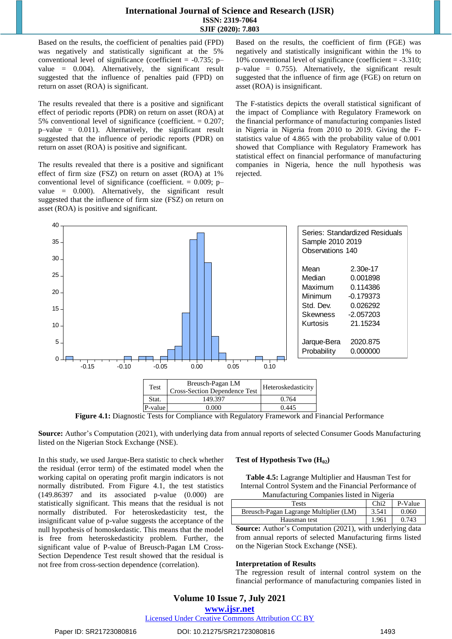Based on the results, the coefficient of penalties paid (FPD) was negatively and statistically significant at the 5% conventional level of significance (coefficient =  $-0.735$ ; p– value = 0.004). Alternatively, the significant result suggested that the influence of penalties paid (FPD) on return on asset (ROA) is significant.

The results revealed that there is a positive and significant effect of periodic reports (PDR) on return on asset (ROA) at 5% conventional level of significance (coefficient. = 0.207;  $p$ –value = 0.011). Alternatively, the significant result suggested that the influence of periodic reports (PDR) on return on asset (ROA) is positive and significant.

The results revealed that there is a positive and significant effect of firm size (FSZ) on return on asset (ROA) at 1% conventional level of significance (coefficient.  $= 0.009$ ; p– value = 0.000). Alternatively, the significant result suggested that the influence of firm size (FSZ) on return on asset (ROA) is positive and significant.

Based on the results, the coefficient of firm (FGE) was negatively and statistically insignificant within the 1% to 10% conventional level of significance (coefficient = -3.310; p–value = 0.755). Alternatively, the significant result suggested that the influence of firm age (FGE) on return on asset (ROA) is insignificant.

The F-statistics depicts the overall statistical significant of the impact of Compliance with Regulatory Framework on the financial performance of manufacturing companies listed in Nigeria in Nigeria from 2010 to 2019. Giving the Fstatistics value of 4.865 with the probability value of 0.001 showed that Compliance with Regulatory Framework has statistical effect on financial performance of manufacturing companies in Nigeria, hence the null hypothesis was rejected.



**Figure 4.1:** Diagnostic Tests for Compliance with Regulatory Framework and Financial Performance

**Source:** Author's Computation (2021), with underlying data from annual reports of selected Consumer Goods Manufacturing listed on the Nigerian Stock Exchange (NSE).

In this study, we used Jarque-Bera statistic to check whether the residual (error term) of the estimated model when the working capital on operating profit margin indicators is not normally distributed. From Figure 4.1, the test statistics (149.86397 and its associated p-value (0.000) are statistically significant. This means that the residual is not normally distributed. For heteroskedasticity test, the insignificant value of p-value suggests the acceptance of the null hypothesis of homoskedastic. This means that the model is free from heteroskedasticity problem. Further, the significant value of P-value of Breusch-Pagan LM Cross-Section Dependence Test result showed that the residual is not free from cross-section dependence (correlation).

#### **Test of Hypothesis Two (H02)**

**Table 4.5:** Lagrange Multiplier and Hausman Test for Internal Control System and the Financial Performance of Manufacturing Companies listed in Nigeria

| Tests                                  | Chi2  | P-Value |
|----------------------------------------|-------|---------|
| Breusch-Pagan Lagrange Multiplier (LM) | 3.541 | 0.060   |
| Hausman test                           | 1.961 | 0.743   |

**Source:** Author's Computation (2021), with underlying data from annual reports of selected Manufacturing firms listed on the Nigerian Stock Exchange (NSE).

#### **Interpretation of Results**

The regression result of internal control system on the financial performance of manufacturing companies listed in

#### **Volume 10 Issue 7, July 2021**

#### **www.ijsr.net**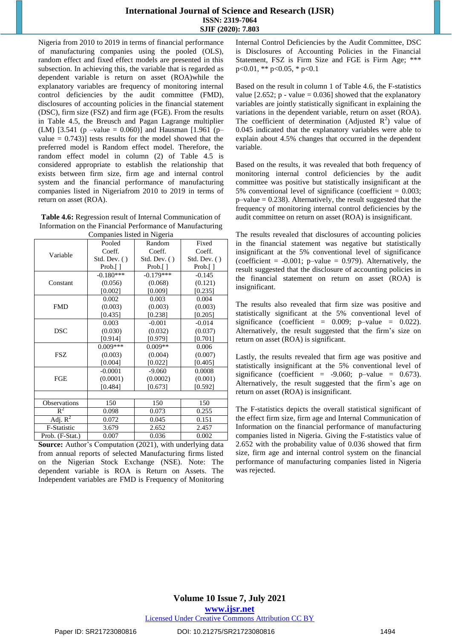Nigeria from 2010 to 2019 in terms of financial performance of manufacturing companies using the pooled (OLS), random effect and fixed effect models are presented in this subsection. In achieving this, the variable that is regarded as dependent variable is return on asset (ROA)while the explanatory variables are frequency of monitoring internal control deficiencies by the audit committee (FMD), disclosures of accounting policies in the financial statement (DSC), firm size (FSZ) and firm age (FGE). From the results in Table 4.5, the Breusch and Pagan Lagrange multiplier (LM) [3.541 (p –value = 0.060)] and Hausman [1.961 (p– value  $= 0.743$ ) tests results for the model showed that the preferred model is Random effect model. Therefore, the random effect model in column (2) of Table 4.5 is considered appropriate to establish the relationship that exists between firm size, firm age and internal control system and the financial performance of manufacturing companies listed in Nigeriafrom 2010 to 2019 in terms of return on asset (ROA).

| Table 4.6: Regression result of Internal Communication of |  |  |  |
|-----------------------------------------------------------|--|--|--|
| Information on the Financial Performance of Manufacturing |  |  |  |
|                                                           |  |  |  |

| Companies listed in Nigeria |                             |                             |                             |  |  |  |
|-----------------------------|-----------------------------|-----------------------------|-----------------------------|--|--|--|
|                             | Pooled                      | Random                      | Fixed                       |  |  |  |
| Variable                    | Coeff.                      | Coeff.                      | Coeff.                      |  |  |  |
|                             | Std. Dev. ()                | Std. Dev. ()                | $Std. Dev.$ ()              |  |  |  |
|                             | Prob. $\lceil \cdot \rceil$ | Prob. $\lceil \cdot \rceil$ | Prob. $\lceil \cdot \rceil$ |  |  |  |
|                             | $-0.180***$                 | $-0.179***$                 | $-0.145$                    |  |  |  |
| Constant                    | (0.056)                     | (0.068)                     | (0.121)                     |  |  |  |
|                             | [0.002]                     | [0.009]                     | [0.235]                     |  |  |  |
|                             | 0.002                       | 0.003                       | 0.004                       |  |  |  |
| <b>FMD</b>                  | (0.003)                     | (0.003)                     | (0.003)                     |  |  |  |
|                             | [0.435]                     | [0.238]                     | [0.205]                     |  |  |  |
|                             | 0.003                       | $-0.001$                    | $-0.014$                    |  |  |  |
| DSC                         | (0.030)                     | (0.032)                     | (0.037)                     |  |  |  |
|                             | [0.914]                     | [0.979]                     | [0.701]                     |  |  |  |
|                             | $0.009***$                  | $0.009**$                   | 0.006                       |  |  |  |
| FSZ                         | (0.003)                     | (0.004)                     | (0.007)                     |  |  |  |
|                             | [0.004]                     | [0.022]                     | [0.405]                     |  |  |  |
|                             | $-0.0001$                   | $-9.060$                    | 0.0008                      |  |  |  |
| <b>FGE</b>                  | (0.0001)                    | (0.0002)                    | (0.001)                     |  |  |  |
|                             | [0.484]                     | [0.673]                     | [0.592]                     |  |  |  |
|                             |                             |                             |                             |  |  |  |
| Observations                | 150                         | 150                         | 150                         |  |  |  |
| $R^2$                       | 0.098                       | 0.073                       | 0.255                       |  |  |  |
| Adj. $\overline{R^2}$       | 0.072                       | 0.045                       | 0.151                       |  |  |  |
| F-Statistic                 | 3.679                       | 2.652                       | 2.457                       |  |  |  |
| Prob. (F-Stat.)             | 0.007                       | 0.036                       | 0.002                       |  |  |  |

**Source:** Author's Computation (2021), with underlying data from annual reports of selected Manufacturing firms listed on the Nigerian Stock Exchange (NSE). Note: The dependent variable is ROA is Return on Assets. The Independent variables are FMD is Frequency of Monitoring Internal Control Deficiencies by the Audit Committee, DSC is Disclosures of Accounting Policies in the Financial Statement, FSZ is Firm Size and FGE is Firm Age; \*\*\* p<0.01, \*\* p<0.05, \* p<0.1

Based on the result in column 1 of Table 4.6, the F-statistics value [2.652; p - value = 0.036] showed that the explanatory variables are jointly statistically significant in explaining the variations in the dependent variable, return on asset (ROA). The coefficient of determination (Adjusted  $R^2$ ) value of 0.045 indicated that the explanatory variables were able to explain about 4.5% changes that occurred in the dependent variable.

Based on the results, it was revealed that both frequency of monitoring internal control deficiencies by the audit committee was positive but statistically insignificant at the 5% conventional level of significance (coefficient  $= 0.003$ ;  $p$ –value = 0.238). Alternatively, the result suggested that the frequency of monitoring internal control deficiencies by the audit committee on return on asset (ROA) is insignificant.

The results revealed that disclosures of accounting policies in the financial statement was negative but statistically insignificant at the 5% conventional level of significance (coefficient =  $-0.001$ ; p-value = 0.979). Alternatively, the result suggested that the disclosure of accounting policies in the financial statement on return on asset (ROA) is insignificant.

The results also revealed that firm size was positive and statistically significant at the 5% conventional level of significance (coefficient =  $0.009$ ; p-value =  $0.022$ ). Alternatively, the result suggested that the firm's size on return on asset (ROA) is significant.

Lastly, the results revealed that firm age was positive and statistically insignificant at the 5% conventional level of significance (coefficient =  $-9.060$ ; p–value = 0.673). Alternatively, the result suggested that the firm's age on return on asset (ROA) is insignificant.

The F-statistics depicts the overall statistical significant of the effect firm size, firm age and Internal Communication of Information on the financial performance of manufacturing companies listed in Nigeria. Giving the F-statistics value of 2.652 with the probability value of 0.036 showed that firm size, firm age and internal control system on the financial performance of manufacturing companies listed in Nigeria was rejected.

Paper ID: SR21723080816 DOI: 10.21275/SR21723080816 1494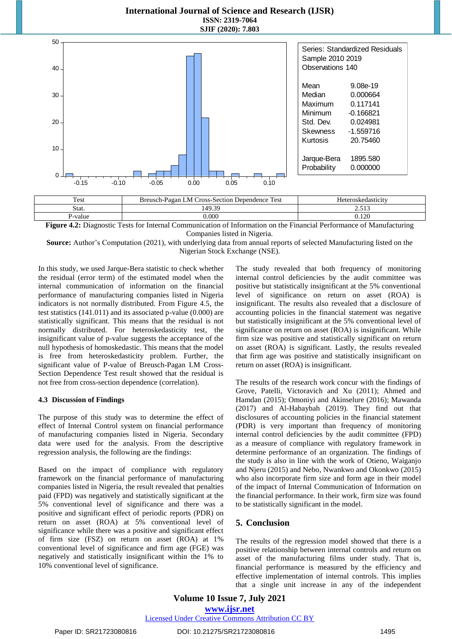

P-value  $0.000$  0.120 **Figure 4.2:** Diagnostic Tests for Internal Communication of Information on the Financial Performance of Manufacturing

Companies listed in Nigeria.

**Source:** Author's Computation (2021), with underlying data from annual reports of selected Manufacturing listed on the Nigerian Stock Exchange (NSE).

In this study, we used Jarque-Bera statistic to check whether the residual (error term) of the estimated model when the internal communication of information on the financial performance of manufacturing companies listed in Nigeria indicators is not normally distributed. From Figure 4.5, the test statistics (141.011) and its associated p-value (0.000) are statistically significant. This means that the residual is not normally distributed. For heteroskedasticity test, the insignificant value of p-value suggests the acceptance of the null hypothesis of homoskedastic. This means that the model is free from heteroskedasticity problem. Further, the significant value of P-value of Breusch-Pagan LM Cross-Section Dependence Test result showed that the residual is not free from cross-section dependence (correlation).

#### **4.3 Discussion of Findings**

The purpose of this study was to determine the effect of effect of Internal Control system on financial performance of manufacturing companies listed in Nigeria. Secondary data were used for the analysis. From the descriptive regression analysis, the following are the findings:

Based on the impact of compliance with regulatory framework on the financial performance of manufacturing companies listed in Nigeria, the result revealed that penalties paid (FPD) was negatively and statistically significant at the 5% conventional level of significance and there was a positive and significant effect of periodic reports (PDR) on return on asset (ROA) at 5% conventional level of significance while there was a positive and significant effect of firm size (FSZ) on return on asset (ROA) at 1% conventional level of significance and firm age (FGE) was negatively and statistically insignificant within the 1% to 10% conventional level of significance.

The study revealed that both frequency of monitoring internal control deficiencies by the audit committee was positive but statistically insignificant at the 5% conventional level of significance on return on asset (ROA) is insignificant. The results also revealed that a disclosure of accounting policies in the financial statement was negative but statistically insignificant at the 5% conventional level of significance on return on asset (ROA) is insignificant. While firm size was positive and statistically significant on return on asset (ROA) is significant. Lastly, the results revealed that firm age was positive and statistically insignificant on return on asset (ROA) is insignificant.

The results of the research work concur with the findings of Grove, Patelli, Victoravich and Xu (2011); Ahmed and Hamdan (2015); Omoniyi and Akinselure (2016); Mawanda (2017) and Al-Habaybah (2019). They find out that disclosures of accounting policies in the financial statement (PDR) is very important than frequency of monitoring internal control deficiencies by the audit committee (FPD) as a measure of compliance with regulatory framework in determine performance of an organization. The findings of the study is also in line with the work of Otieno, Waiganjo and Njeru (2015) and Nebo, Nwankwo and Okonkwo (2015) who also incorporate firm size and form age in their model of the impact of Internal Communication of Information on the financial performance. In their work, firm size was found to be statistically significant in the model.

#### **5. Conclusion**

The results of the regression model showed that there is a positive relationship between internal controls and return on asset of the manufacturing films under study. That is, financial performance is measured by the efficiency and effective implementation of internal controls. This implies that a single unit increase in any of the independent

**Volume 10 Issue 7, July 2021 www.ijsr.net** Licensed Under Creative Commons Attribution CC BY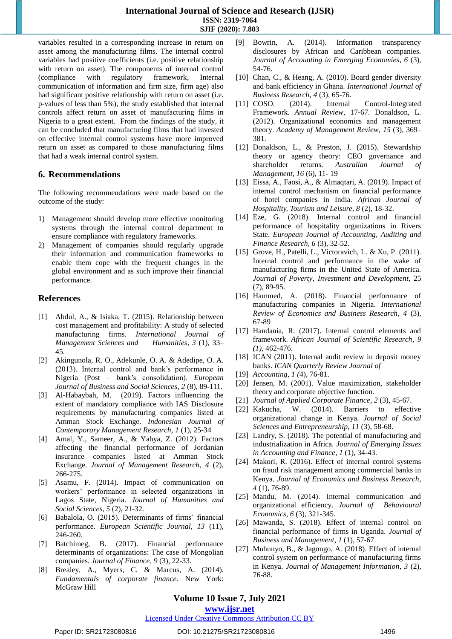variables resulted in a corresponding increase in return on asset among the manufacturing films. The internal control variables had positive coefficients (i.e. positive relationship with return on asset). The components of internal control (compliance with regulatory framework, Internal communication of information and firm size, firm age) also had significant positive relationship with return on asset (i.e. p-values of less than 5%), the study established that internal controls affect return on asset of manufacturing films in Nigeria to a great extent. From the findings of the study, it can be concluded that manufacturing films that had invested on effective internal control systems have more improved return on asset as compared to those manufacturing films that had a weak internal control system.

#### **6. Recommendations**

The following recommendations were made based on the outcome of the study:

- 1) Management should develop more effective monitoring systems through the internal control department to ensure compliance with regulatory frameworks.
- 2) Management of companies should regularly upgrade their information and communication frameworks to enable them cope with the frequent changes in the global environment and as such improve their financial performance.

# **References**

- [1] Abdul, A., & Isiaka, T. (2015). Relationship between cost management and profitability: A study of selected manufacturing firms. *International Journal of Management Sciences and Humanities, 3* (1), 33– 45.
- [2] Akingunola, R. O., Adekunle, O. A. & Adedipe, O. A. (2013). Internal control and bank's performance in Nigeria (Post – bank's consolidation). *European Journal of Business and Social Sciences*, *2* (8), 89-111.
- [3] Al-Habaybah, M. (2019). Factors influencing the extent of mandatory compliance with IAS Disclosure requirements by manufacturing companies listed at Amman Stock Exchange. *Indonesian Journal of Contemporary Management Research, 1* (1), 25-34
- [4] Amal, Y., Sameer, A., & Yahya, Z. (2012). Factors affecting the financial performance of Jordanian insurance companies listed at Amman Stock Exchange. *Journal of Management Research, 4* (2), 266-275.
- [5] Asamu, F. (2014). Impact of communication on workers' performance in selected organizations in Lagos State, Nigeria. *Journal of Humanities and Social Sciences, 5* (2), 21-32.
- [6] Babalola, O. (2015). Determinants of firms' financial performance. *European Scientific Journal, 13* (11), 246-260.
- [7] Batchimeg, B. (2017). Financial performance determinants of organizations: The case of Mongolian companies. *Journal of Finance*, *9* (3), 22-33.
- [8] Brealey, A., Myers, C. & Marcus, A. (2014). *Fundamentals of corporate finance.* New York: McGraw Hill
- [9] Bowrin, A. (2014). Information transparency disclosures by African and Caribbean companies. *Journal of Accounting in Emerging Economies, 6* (3), 54-76.
- [10] Chan, C., & Heang, A. (2010). Board gender diversity and bank efficiency in Ghana. *International Journal of Business Research, 4* (3), 65-76.
- [11] COSO. (2014). Internal Control-Integrated Framework. *Annual Review*, 17-67. Donaldson, L. (2012). Organizational economics and management theory. *Academy of Management Review, 15* (3), 369– 381.
- [12] Donaldson, L., & Preston, J. (2015). Stewardship theory or agency theory: CEO governance and shareholder returns. *Australian Journal of Management, 16* (6), 11- 19
- [13] Eissa, A., Faosi, A., & Almaqtari, A. (2019). Impact of internal control mechanism on financial performance of hotel companies in India*. African Journal of Hospitality, Tourism and Leisure, 8* (2), 18-32.
- [14] Eze, G. (2018). Internal control and financial performance of hospitality organizations in Rivers State. *European Journal of Accounting, Auditing and Finance Research, 6* (3), 32-52.
- [15] Grove, H., Patelli, L., Victoravich, L. & Xu, P. (2011). Internal control and performance in the wake of manufacturing firms in the United State of America. *Journal of Poverty, Investment and Development*, 25 (7), 89-95.
- [16] Hammed, A. (2018). Financial performance of manufacturing companies in Nigeria. *International Review of Economics and Business Research, 4* (3), 67-89
- [17] Handania, R. (2017). Internal control elements and framework. *African Journal of Scientific Research, 9 (1),* 462-476.
- [18] ICAN (2011). Internal audit review in deposit money banks. *ICAN Quarterly Review Journal of*
- [19] *Accounting, 1 (*4), 76-81.
- [20] Jensen, M. (2001). Value maximization, stakeholder theory and corporate objective function.
- [21] *Journal of Applied Corporate Finance, 2* (3), 45-67.
- [22] Kakucha, W. (2014). Barriers to effective organizational change in Kenya. *Journal of Social Sciences and Entrepreneurship, 11* (3), 58-68.
- [23] Landry, S. (2018). The potential of manufacturing and industrialization in Africa. *Journal of Emerging Issues in Accounting and Finance, 1* (1), 34-43.
- [24] Makori, R. (2016). Effect of internal control systems on fraud risk management among commercial banks in Kenya. *Journal of Economics and Business Research, 4* (1), 76-89.
- [25] Mandu, M. (2014). Internal communication and organizational efficiency. *Journal of Behavioural Economics, 6* (3), 321-345.
- [26] Mawanda, S. (2018). Effect of internal control on financial performance of firms in Uganda. *Journal of Business and Management, 1* (1), 57-67.
- [27] Muhunyo, B., & Jagongo, A. (2018). Effect of internal control system on performance of manufacturing firms in Kenya. *Journal of Management Information, 3* (2), 76-88.

# **Volume 10 Issue 7, July 2021**

**www.ijsr.net**